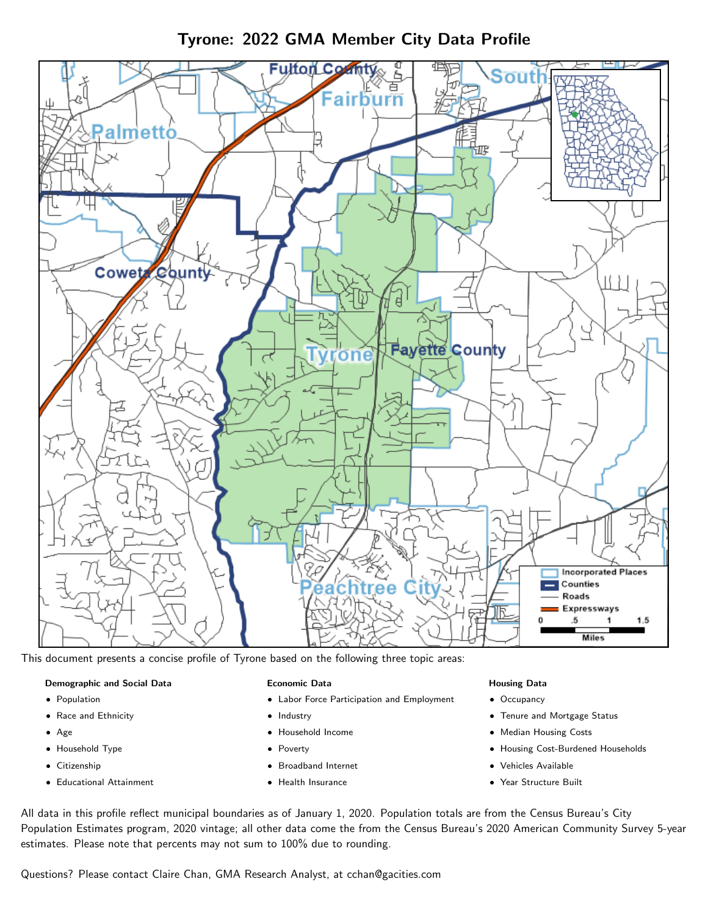Tyrone: 2022 GMA Member City Data Profile



This document presents a concise profile of Tyrone based on the following three topic areas:

#### Demographic and Social Data

- **•** Population
- Race and Ethnicity
- Age
- Household Type
- **Citizenship**
- Educational Attainment

#### Economic Data

- Labor Force Participation and Employment
- Industry
- Household Income
- Poverty
- Broadband Internet
- Health Insurance

#### Housing Data

- Occupancy
- Tenure and Mortgage Status
- Median Housing Costs
- Housing Cost-Burdened Households
- Vehicles Available
- Year Structure Built

All data in this profile reflect municipal boundaries as of January 1, 2020. Population totals are from the Census Bureau's City Population Estimates program, 2020 vintage; all other data come the from the Census Bureau's 2020 American Community Survey 5-year estimates. Please note that percents may not sum to 100% due to rounding.

Questions? Please contact Claire Chan, GMA Research Analyst, at [cchan@gacities.com.](mailto:cchan@gacities.com)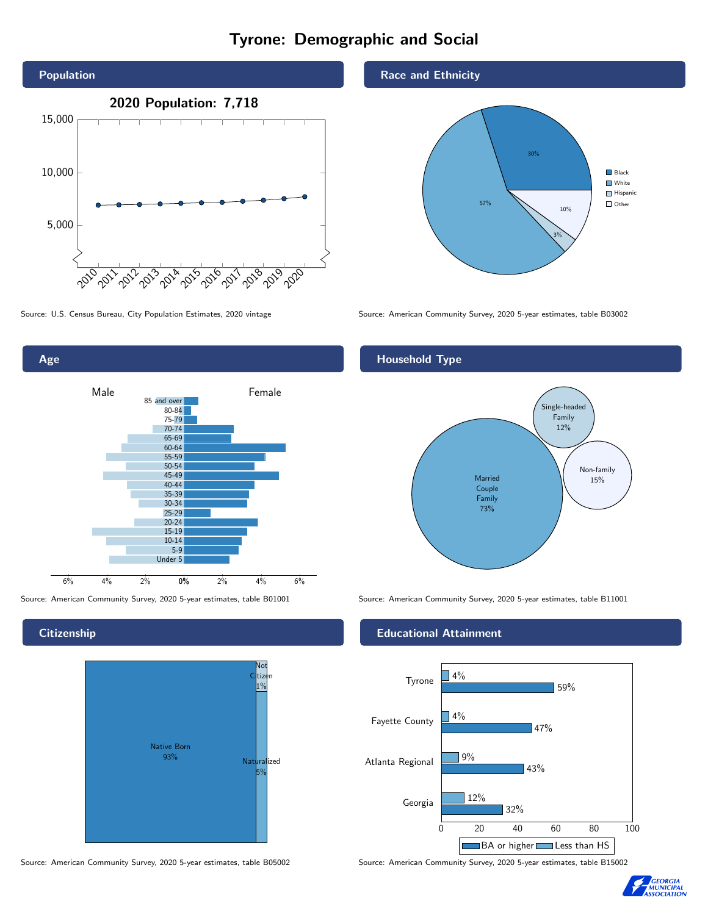# Tyrone: Demographic and Social



0% 2% 4% 6% Male <u>Contract Communication</u> Female 6% 4% 2% 85 and over 80-84 75-79 70-74 65-69 60-64 55-59 50-54 45-49 40-44 35-39 30-34 25-29 20-24 15-19  $10-14$ 5-9 Under 5

**Citizenship** 

Age



Source: American Community Survey, 2020 5-year estimates, table B05002 Source: American Community Survey, 2020 5-year estimates, table B15002

Race and Ethnicity



Source: U.S. Census Bureau, City Population Estimates, 2020 vintage Source: American Community Survey, 2020 5-year estimates, table B03002

## Household Type



Source: American Community Survey, 2020 5-year estimates, table B01001 Source: American Community Survey, 2020 5-year estimates, table B11001

#### Educational Attainment



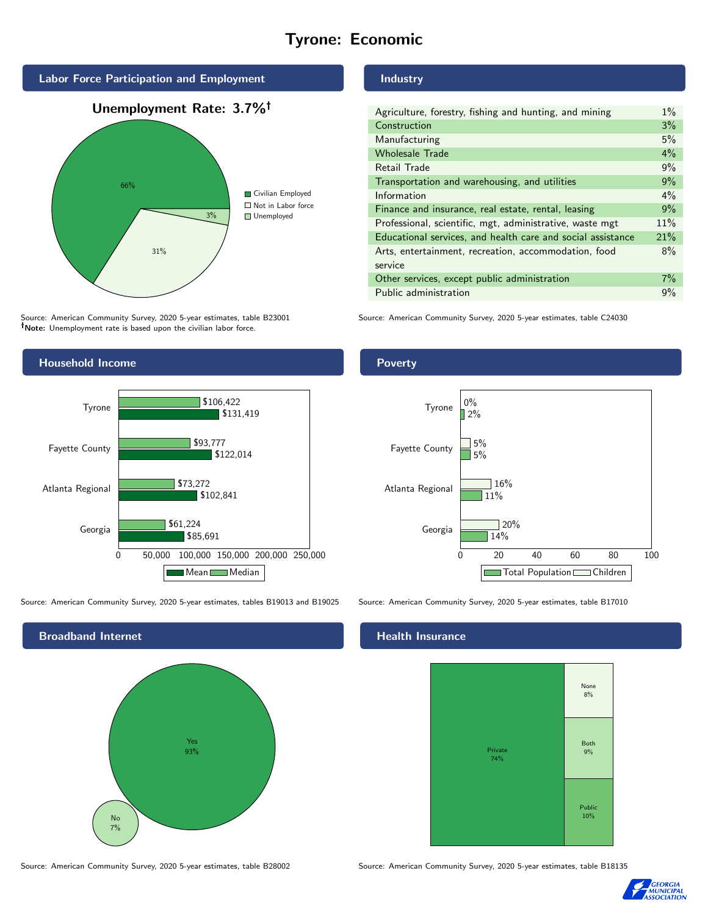# Tyrone: Economic



Source: American Community Survey, 2020 5-year estimates, table B23001 Note: Unemployment rate is based upon the civilian labor force.



Source: American Community Survey, 2020 5-year estimates, tables B19013 and B19025 Source: American Community Survey, 2020 5-year estimates, table B17010



Source: American Community Survey, 2020 5-year estimates, table B28002 Source: American Community Survey, 2020 5-year estimates, table B18135

### Industry

| Agriculture, forestry, fishing and hunting, and mining      | $1\%$ |
|-------------------------------------------------------------|-------|
| Construction                                                | 3%    |
| Manufacturing                                               | 5%    |
| <b>Wholesale Trade</b>                                      | 4%    |
| Retail Trade                                                | 9%    |
| Transportation and warehousing, and utilities               | 9%    |
| Information                                                 | $4\%$ |
| Finance and insurance, real estate, rental, leasing         | 9%    |
| Professional, scientific, mgt, administrative, waste mgt    | 11%   |
| Educational services, and health care and social assistance | 21%   |
| Arts, entertainment, recreation, accommodation, food        | 8%    |
| service                                                     |       |
| Other services, except public administration                | $7\%$ |
| Public administration                                       | 9%    |

Source: American Community Survey, 2020 5-year estimates, table C24030



#### Health Insurance





# **Poverty**